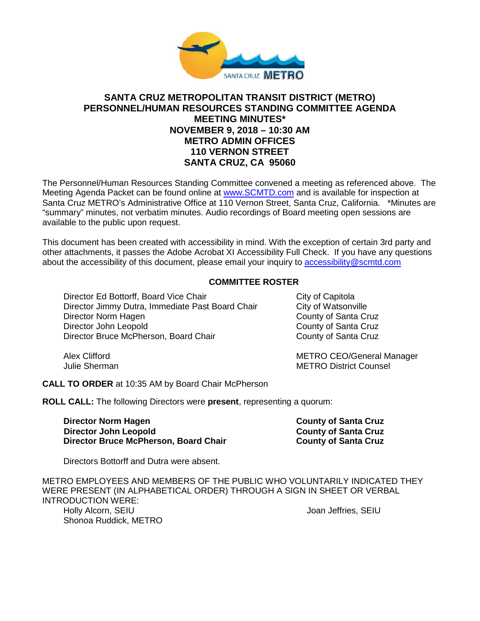

# **SANTA CRUZ METROPOLITAN TRANSIT DISTRICT (METRO) PERSONNEL/HUMAN RESOURCES STANDING COMMITTEE AGENDA MEETING MINUTES\* NOVEMBER 9, 2018 – 10:30 AM METRO ADMIN OFFICES 110 VERNON STREET SANTA CRUZ, CA 95060**

The Personnel/Human Resources Standing Committee convened a meeting as referenced above. The Meeting Agenda Packet can be found online at [www.SCMTD.com](https://www.scmtd.com/en/) and is available for inspection at Santa Cruz METRO's Administrative Office at 110 Vernon Street, Santa Cruz, California. \*Minutes are "summary" minutes, not verbatim minutes. Audio recordings of Board meeting open sessions are available to the public upon request.

This document has been created with accessibility in mind. With the exception of certain 3rd party and other attachments, it passes the Adobe Acrobat XI Accessibility Full Check. If you have any questions about the accessibility of this document, please email your inquiry to [accessibility@scmtd.com](mailto:accessibility@scmtd.com)

#### **COMMITTEE ROSTER**

Director Ed Bottorff, Board Vice Chair Chair City of Capitola<br>Director Jimmy Dutra, Immediate Past Board Chair City of Watsonville Director Jimmy Dutra, Immediate Past Board Chair City of Watsonville<br>Director Norm Hagen County of Santa Cruz Director Norm Hagen Director John Leopold<br>
Director Bruce McPherson, Board Chair<br>
County of Santa Cruz Director Bruce McPherson, Board Chair

Alex Clifford **METRO CEO/General Manager** METRO CEO Julie Sherman METRO District Counsel

**CALL TO ORDER** at 10:35 AM by Board Chair McPherson

**ROLL CALL:** The following Directors were **present**, representing a quorum:

**Director Norm Hagen County of Santa Cruz Director John Leopold County of Santa Cruz Director Bruce McPherson, Board Chair** 

Directors Bottorff and Dutra were absent.

METRO EMPLOYEES AND MEMBERS OF THE PUBLIC WHO VOLUNTARILY INDICATED THEY WERE PRESENT (IN ALPHABETICAL ORDER) THROUGH A SIGN IN SHEET OR VERBAL INTRODUCTION WERE: Holly Alcorn, SEIU and the settlement of the settlement of the settlement of the settlement of the settlement of the settlement of the settlement of the settlement of the settlement of the settlement of the settlement of t Shonoa Ruddick, METRO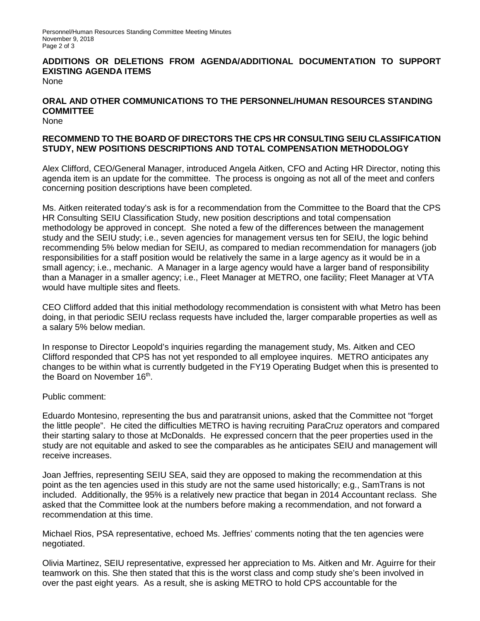Personnel/Human Resources Standing Committee Meeting Minutes November 9, 2018 Page 2 of 3

# **ADDITIONS OR DELETIONS FROM AGENDA/ADDITIONAL DOCUMENTATION TO SUPPORT EXISTING AGENDA ITEMS**

None

# **ORAL AND OTHER COMMUNICATIONS TO THE PERSONNEL/HUMAN RESOURCES STANDING COMMITTEE**

None

# **RECOMMEND TO THE BOARD OF DIRECTORS THE CPS HR CONSULTING SEIU CLASSIFICATION STUDY, NEW POSITIONS DESCRIPTIONS AND TOTAL COMPENSATION METHODOLOGY**

Alex Clifford, CEO/General Manager, introduced Angela Aitken, CFO and Acting HR Director, noting this agenda item is an update for the committee. The process is ongoing as not all of the meet and confers concerning position descriptions have been completed.

Ms. Aitken reiterated today's ask is for a recommendation from the Committee to the Board that the CPS HR Consulting SEIU Classification Study, new position descriptions and total compensation methodology be approved in concept. She noted a few of the differences between the management study and the SEIU study; i.e., seven agencies for management versus ten for SEIU, the logic behind recommending 5% below median for SEIU, as compared to median recommendation for managers (job responsibilities for a staff position would be relatively the same in a large agency as it would be in a small agency; i.e., mechanic. A Manager in a large agency would have a larger band of responsibility than a Manager in a smaller agency; i.e., Fleet Manager at METRO, one facility; Fleet Manager at VTA would have multiple sites and fleets.

CEO Clifford added that this initial methodology recommendation is consistent with what Metro has been doing, in that periodic SEIU reclass requests have included the, larger comparable properties as well as a salary 5% below median.

In response to Director Leopold's inquiries regarding the management study, Ms. Aitken and CEO Clifford responded that CPS has not yet responded to all employee inquires. METRO anticipates any changes to be within what is currently budgeted in the FY19 Operating Budget when this is presented to the Board on November 16th.

#### Public comment:

Eduardo Montesino, representing the bus and paratransit unions, asked that the Committee not "forget the little people". He cited the difficulties METRO is having recruiting ParaCruz operators and compared their starting salary to those at McDonalds. He expressed concern that the peer properties used in the study are not equitable and asked to see the comparables as he anticipates SEIU and management will receive increases.

Joan Jeffries, representing SEIU SEA, said they are opposed to making the recommendation at this point as the ten agencies used in this study are not the same used historically; e.g., SamTrans is not included. Additionally, the 95% is a relatively new practice that began in 2014 Accountant reclass. She asked that the Committee look at the numbers before making a recommendation, and not forward a recommendation at this time.

Michael Rios, PSA representative, echoed Ms. Jeffries' comments noting that the ten agencies were negotiated.

Olivia Martinez, SEIU representative, expressed her appreciation to Ms. Aitken and Mr. Aguirre for their teamwork on this. She then stated that this is the worst class and comp study she's been involved in over the past eight years. As a result, she is asking METRO to hold CPS accountable for the